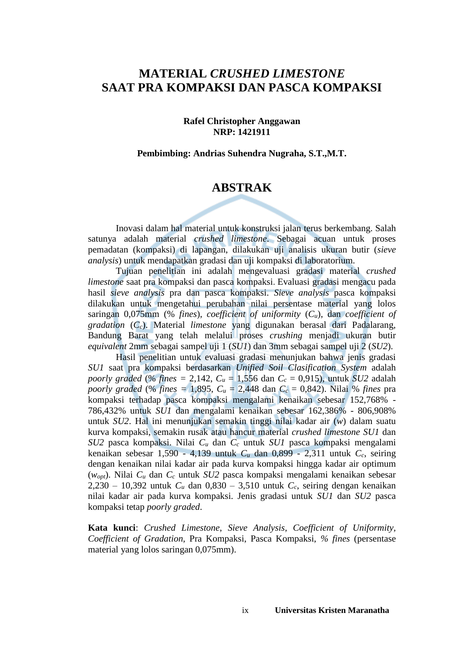### **MATERIAL** *CRUSHED LIMESTONE* **SAAT PRA KOMPAKSI DAN PASCA KOMPAKSI**

#### **Rafel Christopher Anggawan NRP: 1421911**

#### **Pembimbing: Andrias Suhendra Nugraha, S.T.,M.T.**

### **ABSTRAK**

Inovasi dalam hal material untuk konstruksi jalan terus berkembang. Salah satunya adalah material *crushed limestone*. Sebagai acuan untuk proses pemadatan (kompaksi) di lapangan, dilakukan uji analisis ukuran butir (*sieve analysis*) untuk mendapatkan gradasi dan uji kompaksi di laboratorium.

Tujuan penelitian ini adalah mengevaluasi gradasi material *crushed limestone* saat pra kompaksi dan pasca kompaksi. Evaluasi gradasi mengacu pada hasil *sieve analysis* pra dan pasca kompaksi. *Sieve analysis* pasca kompaksi dilakukan untuk mengetahui perubahan nilai persentase material yang lolos saringan 0,075mm (% *fines*), *coefficient of uniformity* (*Cu*), dan *coefficient of gradation* (*Cc*). Material *limestone* yang digunakan berasal dari Padalarang, Bandung Barat yang telah melalui proses *crushing* menjadi ukuran butir *equivalent* 2mm sebagai sampel uji 1 (*SU1*) dan 3mm sebagai sampel uji 2 (*SU2*).

Hasil penelitian untuk evaluasi gradasi menunjukan bahwa jenis gradasi *SU1* saat pra kompaksi berdasarkan *Unified Soil Clasification System* adalah *poorly graded* (% *fines =* 2,142, *C<sup>u</sup>* = 1,556 dan *C<sup>c</sup>* = 0,915), untuk *SU2* adalah *poorly graded* (% *fines =* 1,895, *C<sup>u</sup>* = 2,448 dan *C<sup>c</sup>* = 0,842). Nilai % *fines* pra kompaksi terhadap pasca kompaksi mengalami kenaikan sebesar 152,768% - 786,432% untuk *SU1* dan mengalami kenaikan sebesar 162,386% - 806,908% untuk *SU2*. Hal ini menunjukan semakin tinggi nilai kadar air (*w*) dalam suatu kurva kompaksi, semakin rusak atau hancur material *crushed limestone SU1* dan *SU2* pasca kompaksi. Nilai *C<sup>u</sup>* dan *C<sup>c</sup>* untuk *SU1* pasca kompaksi mengalami kenaikan sebesar 1,590 - 4,139 untuk *C<sup>u</sup>* dan 0,899 - 2,311 untuk *Cc*, seiring dengan kenaikan nilai kadar air pada kurva kompaksi hingga kadar air optimum (*wopt*). Nilai *C<sup>u</sup>* dan *C<sup>c</sup>* untuk *SU2* pasca kompaksi mengalami kenaikan sebesar 2,230 – 10,392 untuk *C<sup>u</sup>* dan 0,830 – 3,510 untuk *Cc*, seiring dengan kenaikan nilai kadar air pada kurva kompaksi. Jenis gradasi untuk *SU1* dan *SU2* pasca kompaksi tetap *poorly graded*.

**Kata kunci**: *Crushed Limestone*, *Sieve Analysis*, *Coefficient of Uniformity, Coefficient of Gradation*, Pra Kompaksi, Pasca Kompaksi, *% fines* (persentase material yang lolos saringan 0,075mm).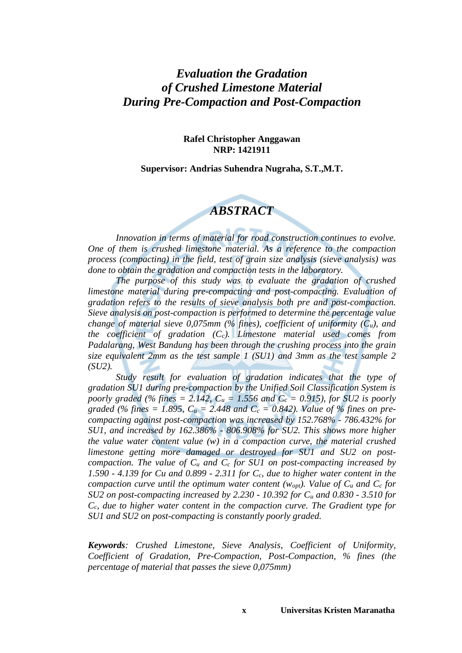### *Evaluation the Gradation of Crushed Limestone Material During Pre-Compaction and Post-Compaction*

#### **Rafel Christopher Anggawan NRP: 1421911**

#### **Supervisor: Andrias Suhendra Nugraha, S.T.,M.T.**

### *ABSTRACT*

*Innovation in terms of material for road construction continues to evolve. One of them is crushed limestone material. As a reference to the compaction process (compacting) in the field, test of grain size analysis (sieve analysis) was done to obtain the gradation and compaction tests in the laboratory.*

*The purpose of this study was to evaluate the gradation of crushed limestone material during pre-compacting and post-compacting. Evaluation of gradation refers to the results of sieve analysis both pre and post-compaction. Sieve analysis on post-compaction is performed to determine the percentage value change of material sieve 0,075mm (% fines), coefficient of uniformity (Cu), and the coefficient of gradation (Cc). Limestone material used comes from Padalarang, West Bandung has been through the crushing process into the grain size equivalent 2mm as the test sample 1 (SU1) and 3mm as the test sample 2 (SU2).*

*Study result for evaluation of gradation indicates that the type of gradation SU1 during pre-compaction by the Unified Soil Classification System is poorly graded (% fines = 2.142,*  $C_u = 1.556$  *and*  $C_c = 0.915$ *), for SU2 is poorly graded (% fines = 1.895,*  $C_u = 2.448$  *and*  $C_c = 0.842$ *). Value of % fines on precompacting against post-compaction was increased by 152.768% - 786.432% for SU1, and increased by 162.386% - 806.908% for SU2. This shows more higher the value water content value (w) in a compaction curve, the material crushed limestone getting more damaged or destroyed for SU1 and SU2 on postcompaction. The value of C<sup>u</sup> and C<sup>c</sup> for SU1 on post-compacting increased by 1.590 - 4.139 for Cu and 0.899 - 2.311 for Cc, due to higher water content in the compaction curve until the optimum water content (* $W_{opt}$ *). Value of*  $C_u$  *and*  $C_c$  *for SU2 on post-compacting increased by 2.230 - 10.392 for C<sup>u</sup> and 0.830 - 3.510 for Cc, due to higher water content in the compaction curve. The Gradient type for SU1 and SU2 on post-compacting is constantly poorly graded.*

*Keywords: Crushed Limestone, Sieve Analysis*, *Coefficient of Uniformity, Coefficient of Gradation, Pre-Compaction, Post-Compaction, % fines (the percentage of material that passes the sieve 0,075mm)*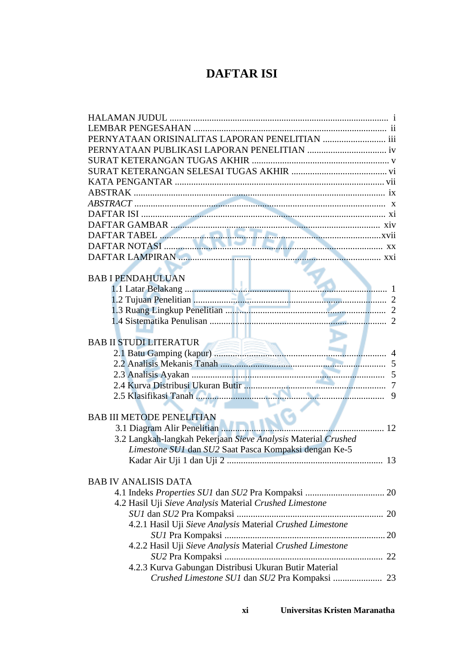## **DAFTAR ISI**

| MARIA SAMBAR (1999) DAFTAR TABEL (1999) ANN 1999) DAFTAR TABEL (1999) DAFTAR NOTASI (1999) DAFTAR NOTASI (1999) |
|-----------------------------------------------------------------------------------------------------------------|
|                                                                                                                 |
|                                                                                                                 |
|                                                                                                                 |
| <b>BAB I PENDAHULUAN</b>                                                                                        |
|                                                                                                                 |
|                                                                                                                 |
|                                                                                                                 |
|                                                                                                                 |
|                                                                                                                 |
|                                                                                                                 |
| <b>BAB II STUDI LITERATUR</b>                                                                                   |
|                                                                                                                 |
|                                                                                                                 |
|                                                                                                                 |
|                                                                                                                 |
|                                                                                                                 |
|                                                                                                                 |
| <b>BAB III METODE PENELITIAN</b>                                                                                |
| 12                                                                                                              |
| 3.2 Langkah-langkah Pekerjaan Sieve Analysis Material Crushed                                                   |
| Limestone SU1 dan SU2 Saat Pasca Kompaksi dengan Ke-5                                                           |
|                                                                                                                 |
|                                                                                                                 |
| <b>BAB IV ANALISIS DATA</b>                                                                                     |
|                                                                                                                 |
| 4.2 Hasil Uji Sieve Analysis Material Crushed Limestone                                                         |
|                                                                                                                 |
| 4.2.1 Hasil Uji Sieve Analysis Material Crushed Limestone                                                       |
|                                                                                                                 |
| 4.2.2 Hasil Uji Sieve Analysis Material Crushed Limestone                                                       |
|                                                                                                                 |
| 4.2.3 Kurva Gabungan Distribusi Ukuran Butir Material                                                           |
| Crushed Limestone SU1 dan SU2 Pra Kompaksi  23                                                                  |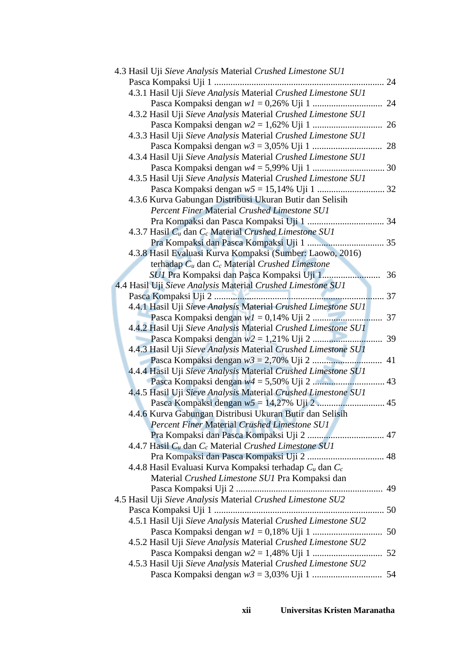| 4.3 Hasil Uji Sieve Analysis Material Crushed Limestone SU1   |    |
|---------------------------------------------------------------|----|
|                                                               |    |
| 4.3.1 Hasil Uji Sieve Analysis Material Crushed Limestone SU1 |    |
|                                                               |    |
| 4.3.2 Hasil Uji Sieve Analysis Material Crushed Limestone SU1 |    |
|                                                               |    |
| 4.3.3 Hasil Uji Sieve Analysis Material Crushed Limestone SU1 |    |
|                                                               |    |
| 4.3.4 Hasil Uji Sieve Analysis Material Crushed Limestone SU1 |    |
|                                                               |    |
| 4.3.5 Hasil Uji Sieve Analysis Material Crushed Limestone SU1 |    |
|                                                               |    |
| 4.3.6 Kurva Gabungan Distribusi Ukuran Butir dan Selisih      |    |
| Percent Finer Material Crushed Limestone SU1                  |    |
|                                                               |    |
| 4.3.7 Hasil $C_u$ dan $C_c$ Material Crushed Limestone SU1    |    |
|                                                               |    |
| 4.3.8 Hasil Evaluasi Kurva Kompaksi (Sumber: Laowo, 2016)     |    |
| terhadap $C_u$ dan $C_c$ Material Crushed Limestone           |    |
|                                                               | 36 |
| 4.4 Hasil Uji Sieve Analysis Material Crushed Limestone SU1   |    |
|                                                               |    |
| 4.4.1 Hasil Uji Sieve Analysis Material Crushed Limestone SUI |    |
|                                                               |    |
| 4.4.2 Hasil Uji Sieve Analysis Material Crushed Limestone SUI |    |
|                                                               |    |
| 4.4.3 Hasil Uji Sieve Analysis Material Crushed Limestone SUI |    |
|                                                               |    |
| 4.4.4 Hasil Uji Sieve Analysis Material Crushed Limestone SU1 |    |
|                                                               |    |
| 4.4.5 Hasil Uji Sieve Analysis Material Crushed Limestone SU1 |    |
|                                                               |    |
| 4.4.6 Kurva Gabungan Distribusi Ukuran Butir dan Selisih      |    |
| <b>Percent Finer Material Crushed Limestone SUI</b>           |    |
| Pra Kompaksi dan Pasca Kompaksi Uji 2  47                     |    |
| 4.4.7 Hasil $C_u$ dan $C_c$ Material Crushed Limestone SU1    |    |
|                                                               |    |
| 4.4.8 Hasil Evaluasi Kurva Kompaksi terhadap $C_u$ dan $C_c$  |    |
| Material Crushed Limestone SU1 Pra Kompaksi dan               |    |
|                                                               |    |
| 4.5 Hasil Uji Sieve Analysis Material Crushed Limestone SU2   |    |
|                                                               |    |
| 4.5.1 Hasil Uji Sieve Analysis Material Crushed Limestone SU2 |    |
|                                                               |    |
| 4.5.2 Hasil Uji Sieve Analysis Material Crushed Limestone SU2 |    |
|                                                               |    |
| 4.5.3 Hasil Uji Sieve Analysis Material Crushed Limestone SU2 |    |
|                                                               |    |
|                                                               |    |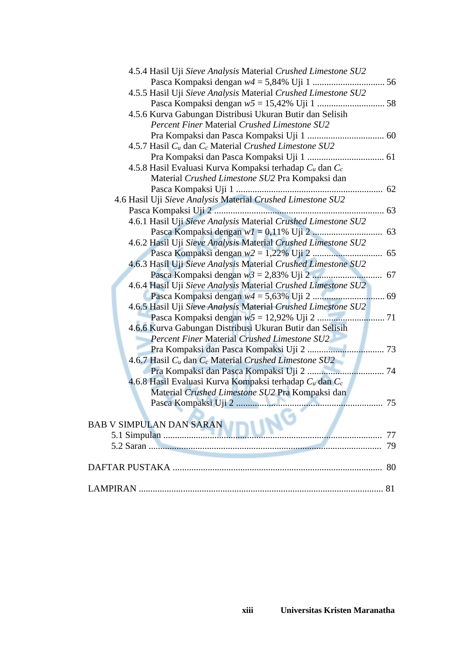| 4.5.4 Hasil Uji Sieve Analysis Material Crushed Limestone SU2 |    |
|---------------------------------------------------------------|----|
|                                                               |    |
| 4.5.5 Hasil Uji Sieve Analysis Material Crushed Limestone SU2 |    |
|                                                               |    |
| 4.5.6 Kurva Gabungan Distribusi Ukuran Butir dan Selisih      |    |
| <b>Percent Finer Material Crushed Limestone SU2</b>           |    |
|                                                               |    |
| 4.5.7 Hasil $C_u$ dan $C_c$ Material Crushed Limestone SU2    |    |
|                                                               |    |
| 4.5.8 Hasil Evaluasi Kurva Kompaksi terhadap $C_u$ dan $C_c$  |    |
| Material Crushed Limestone SU2 Pra Kompaksi dan               |    |
|                                                               |    |
| 4.6 Hasil Uji Sieve Analysis Material Crushed Limestone SU2   |    |
|                                                               |    |
| 4.6.1 Hasil Uji Sieve Analysis Material Crushed Limestone SU2 |    |
|                                                               |    |
| 4.6.2 Hasil Uji Sieve Analysis Material Crushed Limestone SU2 |    |
|                                                               |    |
| 4.6.3 Hasil Uji Sieve Analysis Material Crushed Limestone SU2 |    |
|                                                               |    |
| 4.6.4 Hasil Uji Sieve Analysis Material Crushed Limestone SU2 |    |
|                                                               |    |
| 4.6.5 Hasil Uji Sieve Analysis Material Crushed Limestone SU2 |    |
|                                                               |    |
| 4.6.6 Kurva Gabungan Distribusi Ukuran Butir dan Selisih      |    |
| <b>Percent Finer Material Crushed Limestone SU2</b>           |    |
|                                                               |    |
| 4.6.7 Hasil $C_u$ dan $C_c$ Material Crushed Limestone SU2    |    |
|                                                               |    |
| 4.6.8 Hasil Evaluasi Kurva Kompaksi terhadap $C_u$ dan $C_c$  |    |
| Material Crushed Limestone SU2 Pra Kompaksi dan               |    |
|                                                               |    |
| ____                                                          |    |
| NÓ<br><b>BAB V SIMPULAN DAN SARAN</b>                         |    |
|                                                               | 77 |
|                                                               | 79 |
|                                                               |    |
|                                                               | 80 |
|                                                               |    |
|                                                               |    |
|                                                               |    |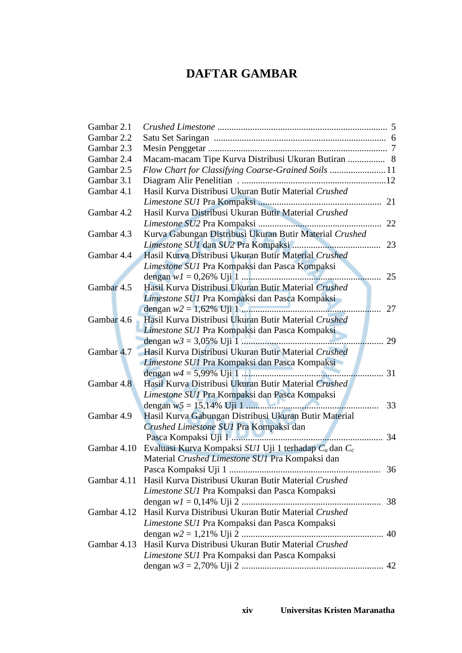# **DAFTAR GAMBAR**

| Gambar 2.1  |                                                         |    |
|-------------|---------------------------------------------------------|----|
| Gambar 2.2  |                                                         |    |
| Gambar 2.3  |                                                         |    |
| Gambar 2.4  | Macam-macam Tipe Kurva Distribusi Ukuran Butiran  8     |    |
| Gambar 2.5  | Flow Chart for Classifying Coarse-Grained Soils  11     |    |
| Gambar 3.1  |                                                         |    |
| Gambar 4.1  | Hasil Kurva Distribusi Ukuran Butir Material Crushed    |    |
|             |                                                         |    |
| Gambar 4.2  | Hasil Kurva Distribusi Ukuran Butir Material Crushed    |    |
|             |                                                         |    |
| Gambar 4.3  | Kurva Gabungan Distribusi Ukuran Butir Material Crushed |    |
|             |                                                         |    |
| Gambar 4.4  | Hasil Kurva Distribusi Ukuran Butir Material Crushed    |    |
|             | Limestone SU1 Pra Kompaksi dan Pasca Kompaksi           |    |
|             |                                                         | 25 |
| Gambar 4.5  | Hasil Kurva Distribusi Ukuran Butir Material Crushed    |    |
|             | Limestone SU1 Pra Kompaksi dan Pasca Kompaksi           |    |
|             |                                                         | 27 |
| Gambar 4.6  | Hasil Kurva Distribusi Ukuran Butir Material Crushed    |    |
|             | Limestone SU1 Pra Kompaksi dan Pasca Kompaksi           |    |
|             |                                                         | 29 |
| Gambar 4.7  | Hasil Kurva Distribusi Ukuran Butir Material Crushed    |    |
|             | Limestone SU1 Pra Kompaksi dan Pasca Kompaksi           |    |
|             |                                                         | 31 |
| Gambar 4.8  | Hasil Kurva Distribusi Ukuran Butir Material Crushed    |    |
|             | Limestone SU1 Pra Kompaksi dan Pasca Kompaksi           |    |
|             |                                                         | 33 |
| Gambar 4.9  | Hasil Kurva Gabungan Distribusi Ukuran Butir Material   |    |
|             | Crushed Limestone SU1 Pra Kompaksi dan                  |    |
|             |                                                         | 34 |
| Gambar 4.10 | Evaluasi Kurva Kompaksi SU1 Uji 1 terhadap Cu dan Cc    |    |
|             | Material Crushed Limestone SU1 Pra Kompaksi dan         |    |
|             |                                                         |    |
| Gambar 4.11 | Hasil Kurva Distribusi Ukuran Butir Material Crushed    |    |
|             | Limestone SU1 Pra Kompaksi dan Pasca Kompaksi           |    |
|             |                                                         |    |
| Gambar 4.12 | Hasil Kurva Distribusi Ukuran Butir Material Crushed    |    |
|             | Limestone SU1 Pra Kompaksi dan Pasca Kompaksi           |    |
|             |                                                         |    |
| Gambar 4.13 | Hasil Kurva Distribusi Ukuran Butir Material Crushed    |    |
|             | Limestone SU1 Pra Kompaksi dan Pasca Kompaksi           |    |
|             |                                                         |    |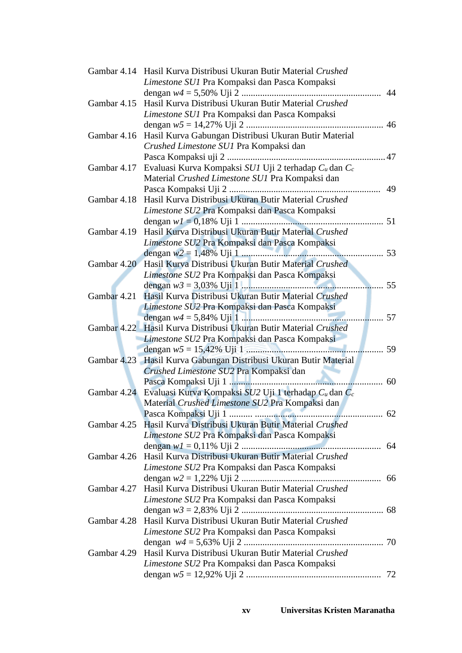|             | Gambar 4.14 Hasil Kurva Distribusi Ukuran Butir Material Crushed       |    |
|-------------|------------------------------------------------------------------------|----|
|             | Limestone SU1 Pra Kompaksi dan Pasca Kompaksi                          |    |
|             |                                                                        | 44 |
| Gambar 4.15 | Hasil Kurva Distribusi Ukuran Butir Material Crushed                   |    |
|             | Limestone SU1 Pra Kompaksi dan Pasca Kompaksi                          |    |
|             |                                                                        | 46 |
| Gambar 4.16 | Hasil Kurva Gabungan Distribusi Ukuran Butir Material                  |    |
|             | Crushed Limestone SU1 Pra Kompaksi dan                                 |    |
|             |                                                                        |    |
| Gambar 4.17 | Evaluasi Kurva Kompaksi SU1 Uji 2 terhadap $C_u$ dan $C_c$             |    |
|             | Material Crushed Limestone SU1 Pra Kompaksi dan                        |    |
|             |                                                                        | 49 |
| Gambar 4.18 | Hasil Kurva Distribusi Ukuran Butir Material Crushed                   |    |
|             | Limestone SU2 Pra Kompaksi dan Pasca Kompaksi                          |    |
|             |                                                                        |    |
| Gambar 4.19 | Hasil Kurva Distribusi Ukuran Butir Material Crushed                   |    |
|             | Limestone SU2 Pra Kompaksi dan Pasca Kompaksi                          |    |
|             |                                                                        |    |
|             | Gambar 4.20 Hasil Kurva Distribusi Ukuran Butir Material Crushed       |    |
|             |                                                                        |    |
|             | Limestone SU2 Pra Kompaksi dan Pasca Kompaksi                          | 55 |
|             |                                                                        |    |
| Gambar 4.21 | Hasil Kurva Distribusi Ukuran Butir Material Crushed                   |    |
|             | Limestone SU2 Pra Kompaksi dan Pasca Kompaksi                          |    |
|             |                                                                        | 57 |
|             | Gambar 4.22 Hasil Kurva Distribusi Ukuran Butir Material Crushed       |    |
|             | Limestone SU2 Pra Kompaksi dan Pasca Kompaksi                          |    |
|             |                                                                        | 59 |
|             | Gambar 4.23 Hasil Kurva Gabungan Distribusi Ukuran Butir Material      |    |
|             | Crushed Limestone SU2 Pra Kompaksi dan                                 |    |
|             |                                                                        | 60 |
|             | Gambar 4.24 Evaluasi Kurva Kompaksi SU2 Uji 1 terhadap $C_u$ dan $C_c$ |    |
|             | Material Crushed Limestone SU2 Pra Kompaksi dan                        |    |
|             |                                                                        |    |
|             | Gambar 4.25 Hasil Kurva Distribusi Ukuran Butir Material Crushed       |    |
|             | Limestone SU2 Pra Kompaksi dan Pasca Kompaksi                          |    |
|             |                                                                        |    |
|             | Gambar 4.26 Hasil Kurva Distribusi Ukuran Butir Material Crushed       |    |
|             | Limestone SU2 Pra Kompaksi dan Pasca Kompaksi                          |    |
|             |                                                                        |    |
| Gambar 4.27 | Hasil Kurva Distribusi Ukuran Butir Material Crushed                   |    |
|             | Limestone SU2 Pra Kompaksi dan Pasca Kompaksi                          |    |
|             |                                                                        |    |
| Gambar 4.28 | Hasil Kurva Distribusi Ukuran Butir Material Crushed                   |    |
|             | Limestone SU2 Pra Kompaksi dan Pasca Kompaksi                          |    |
|             |                                                                        |    |
| Gambar 4.29 | Hasil Kurva Distribusi Ukuran Butir Material Crushed                   |    |
|             | Limestone SU2 Pra Kompaksi dan Pasca Kompaksi                          |    |
|             |                                                                        |    |
|             |                                                                        |    |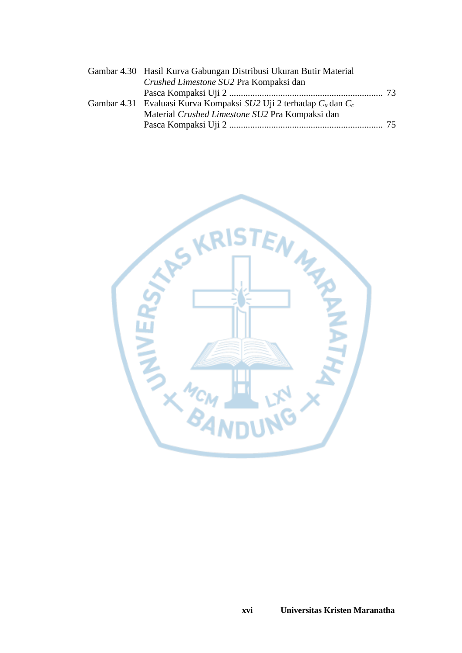| Gambar 4.30 Hasil Kurva Gabungan Distribusi Ukuran Butir Material      |  |
|------------------------------------------------------------------------|--|
| Crushed Limestone SU2 Pra Kompaksi dan                                 |  |
|                                                                        |  |
| Gambar 4.31 Evaluasi Kurva Kompaksi SU2 Uji 2 terhadap $C_u$ dan $C_c$ |  |
| Material Crushed Limestone SU2 Pra Kompaksi dan                        |  |
|                                                                        |  |
|                                                                        |  |

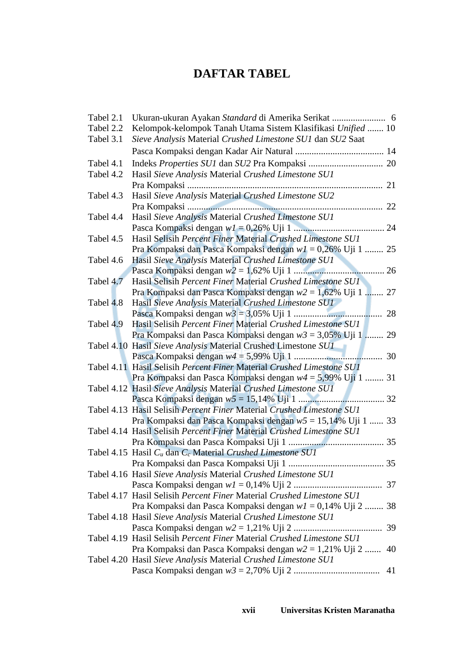## **DAFTAR TABEL**

| Tabel 2.1 |                                                                       |    |
|-----------|-----------------------------------------------------------------------|----|
| Tabel 2.2 | Kelompok-kelompok Tanah Utama Sistem Klasifikasi Unified  10          |    |
| Tabel 3.1 | Sieve Analysis Material Crushed Limestone SU1 dan SU2 Saat            |    |
|           |                                                                       |    |
| Tabel 4.1 |                                                                       |    |
| Tabel 4.2 | Hasil Sieve Analysis Material Crushed Limestone SU1                   |    |
|           |                                                                       | 21 |
| Tabel 4.3 | Hasil Sieve Analysis Material Crushed Limestone SU2                   |    |
|           |                                                                       | 22 |
| Tabel 4.4 | Hasil Sieve Analysis Material Crushed Limestone SU1                   |    |
|           |                                                                       |    |
| Tabel 4.5 | Hasil Selisih Percent Finer Material Crushed Limestone SU1            |    |
|           | Pra Kompaksi dan Pasca Kompaksi dengan $w1 = 0.26\%$ Uji 1  25        |    |
| Tabel 4.6 | Hasil Sieve Analysis Material Crushed Limestone SU1                   |    |
|           |                                                                       |    |
| Tabel 4.7 | Hasil Selisih Percent Finer Material Crushed Limestone SUI            |    |
|           | Pra Kompaksi dan Pasca Kompaksi dengan $w^2 = 1.62\%$ Uji 1           | 27 |
| Tabel 4.8 | Hasil Sieve Analysis Material Crushed Limestone SU1                   |    |
|           |                                                                       | 28 |
| Tabel 4.9 | Hasil Selisih Percent Finer Material Crushed Limestone SU1            |    |
|           | Pra Kompaksi dan Pasca Kompaksi dengan $w3 = 3,05\%$ Uji 1  29        |    |
|           | Tabel 4.10 Hasil Sieve Analysis Material Crushed Limestone SU1        |    |
|           |                                                                       |    |
|           | Tabel 4.11 Hasil Selisih Percent Finer Material Crushed Limestone SU1 |    |
|           | Pra Kompaksi dan Pasca Kompaksi dengan $w4 = 5,99\%$ Uji 1  31        |    |
|           | Tabel 4.12 Hasil Sieve Analysis Material Crushed Limestone SU1        |    |
|           |                                                                       |    |
|           | Tabel 4.13 Hasil Selisih Percent Finer Material Crushed Limestone SU1 |    |
|           | Pra Kompaksi dan Pasca Kompaksi dengan $w5 = 15,14\%$ Uji 1  33       |    |
|           | Tabel 4.14 Hasil Selisih Percent Finer Material Crushed Limestone SU1 |    |
|           |                                                                       |    |
|           | Tabel 4.15 Hasil $C_u$ dan $C_c$ Material Crushed Limestone SUI       |    |
|           |                                                                       |    |
|           | Tabel 4.16 Hasil Sieve Analysis Material Crushed Limestone SU1        |    |
|           |                                                                       |    |
|           | Tabel 4.17 Hasil Selisih Percent Finer Material Crushed Limestone SU1 |    |
|           | Pra Kompaksi dan Pasca Kompaksi dengan $w1 = 0,14\%$ Uji 2  38        |    |
|           | Tabel 4.18 Hasil Sieve Analysis Material Crushed Limestone SU1        |    |
|           |                                                                       | 39 |
|           | Tabel 4.19 Hasil Selisih Percent Finer Material Crushed Limestone SU1 |    |
|           | Pra Kompaksi dan Pasca Kompaksi dengan $w^2 = 1,21\%$ Uji 2           | 40 |
|           | Tabel 4.20 Hasil Sieve Analysis Material Crushed Limestone SU1        |    |
|           |                                                                       | 41 |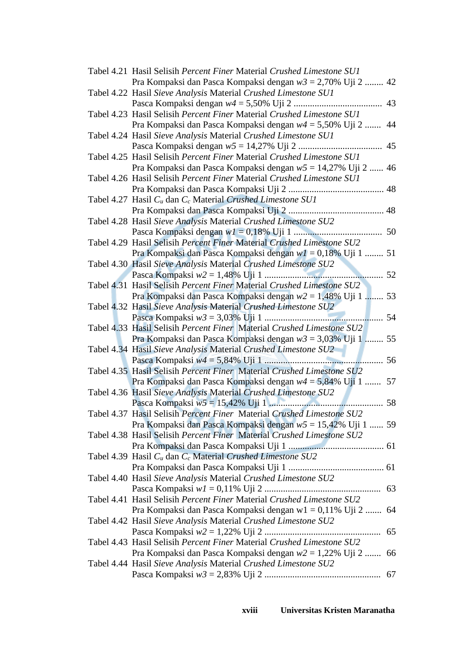| Tabel 4.21 Hasil Selisih Percent Finer Material Crushed Limestone SU1             |    |
|-----------------------------------------------------------------------------------|----|
| Pra Kompaksi dan Pasca Kompaksi dengan $w3 = 2,70\%$ Uji 2  42                    |    |
| Tabel 4.22 Hasil Sieve Analysis Material Crushed Limestone SU1                    |    |
|                                                                                   | 43 |
| Tabel 4.23 Hasil Selisih Percent Finer Material Crushed Limestone SU1             |    |
| Pra Kompaksi dan Pasca Kompaksi dengan $w4 = 5,50\%$ Uji 2                        | 44 |
| Tabel 4.24 Hasil Sieve Analysis Material Crushed Limestone SU1                    |    |
|                                                                                   | 45 |
| Tabel 4.25 Hasil Selisih Percent Finer Material Crushed Limestone SU1             |    |
|                                                                                   |    |
| Pra Kompaksi dan Pasca Kompaksi dengan $w5 = 14,27\%$ Uji 2  46                   |    |
| Tabel 4.26 Hasil Selisih Percent Finer Material Crushed Limestone SU1             |    |
|                                                                                   |    |
| Tabel 4.27 Hasil C <sub>u</sub> dan C <sub>c</sub> Material Crushed Limestone SU1 |    |
|                                                                                   |    |
| Tabel 4.28 Hasil Sieve Analysis Material Crushed Limestone SU2                    |    |
|                                                                                   |    |
| Tabel 4.29 Hasil Selisih Percent Finer Material Crushed Limestone SU2             |    |
| Pra Kompaksi dan Pasca Kompaksi dengan $wI = 0,18\%$ Uji 1  51                    |    |
| Tabel 4.30 Hasil Sieve Analysis Material Crushed Limestone SU2                    |    |
|                                                                                   | 52 |
| Tabel 4.31 Hasil Selisih Percent Finer Material Crushed Limestone SU2             |    |
| Pra Kompaksi dan Pasca Kompaksi dengan $w2 = 1,48\%$ Uji 1  53                    |    |
| Tabel 4.32 Hasil Sieve Analysis Material Crushed Limestone SU2                    |    |
|                                                                                   | 54 |
| Tabel 4.33 Hasil Selisih Percent Finer Material Crushed Limestone SU2             |    |
| Pra Kompaksi dan Pasca Kompaksi dengan $w3 = 3,03\%$ Uji 1  55                    |    |
| Tabel 4.34 Hasil Sieve Analysis Material Crushed Limestone SU2                    |    |
|                                                                                   | 56 |
|                                                                                   |    |
| Tabel 4.35 Hasil Selisih Percent Finer Material Crushed Limestone SU2             |    |
| Pra Kompaksi dan Pasca Kompaksi dengan $w4 = 5,84\%$ Uji 1  57                    |    |
| Tabel 4.36 Hasil Sieve Analysis Material Crushed Limestone SU2                    |    |
|                                                                                   |    |
| Tabel 4.37 Hasil Selisih Percent Finer Material Crushed Limestone SU2             |    |
| Pra Kompaksi dan Pasca Kompaksi dengan $w5 = 15,42\%$ Uji 1  59                   |    |
| Tabel 4.38 Hasil Selisih Percent Finer Material Crushed Limestone SU2             |    |
|                                                                                   |    |
| Tabel 4.39 Hasil $C_u$ dan $C_c$ Material Crushed Limestone SU2                   |    |
|                                                                                   |    |
| Tabel 4.40 Hasil Sieve Analysis Material Crushed Limestone SU2                    |    |
|                                                                                   |    |
| Tabel 4.41 Hasil Selisih Percent Finer Material Crushed Limestone SU2             |    |
| Pra Kompaksi dan Pasca Kompaksi dengan w1 = 0,11% Uji 2  64                       |    |
| Tabel 4.42 Hasil Sieve Analysis Material Crushed Limestone SU2                    |    |
|                                                                                   | 65 |
|                                                                                   |    |
| Tabel 4.43 Hasil Selisih Percent Finer Material Crushed Limestone SU2             |    |
| Pra Kompaksi dan Pasca Kompaksi dengan $w^2 = 1,22\%$ Uji 2  66                   |    |
| Tabel 4.44 Hasil Sieve Analysis Material Crushed Limestone SU2                    |    |
|                                                                                   |    |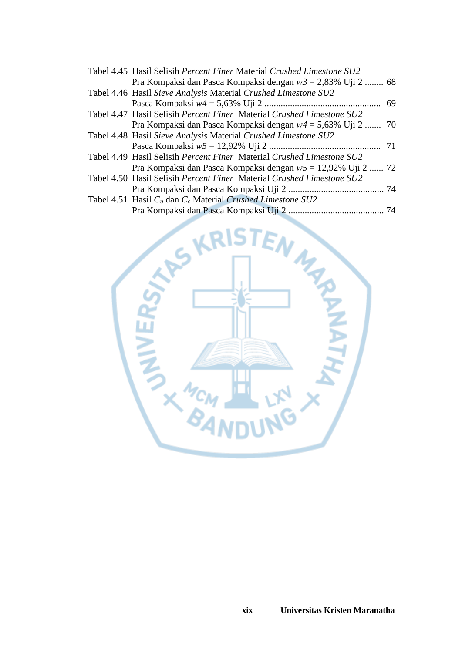| Tabel 4.45 Hasil Selisih Percent Finer Material Crushed Limestone SU2 |  |
|-----------------------------------------------------------------------|--|
| Pra Kompaksi dan Pasca Kompaksi dengan $w3 = 2,83\%$ Uji 2  68        |  |
| Tabel 4.46 Hasil Sieve Analysis Material Crushed Limestone SU2        |  |
|                                                                       |  |
| Tabel 4.47 Hasil Selisih Percent Finer Material Crushed Limestone SU2 |  |
| Pra Kompaksi dan Pasca Kompaksi dengan $w4 = 5,63\%$ Uji 2  70        |  |
| Tabel 4.48 Hasil Sieve Analysis Material Crushed Limestone SU2        |  |
|                                                                       |  |
| Tabel 4.49 Hasil Selisih Percent Finer Material Crushed Limestone SU2 |  |
| Pra Kompaksi dan Pasca Kompaksi dengan $w5 = 12,92\%$ Uji 2  72       |  |
| Tabel 4.50 Hasil Selisih Percent Finer Material Crushed Limestone SU2 |  |
|                                                                       |  |
| Tabel 4.51 Hasil $C_u$ dan $C_c$ Material Crushed Limestone SU2       |  |
|                                                                       |  |

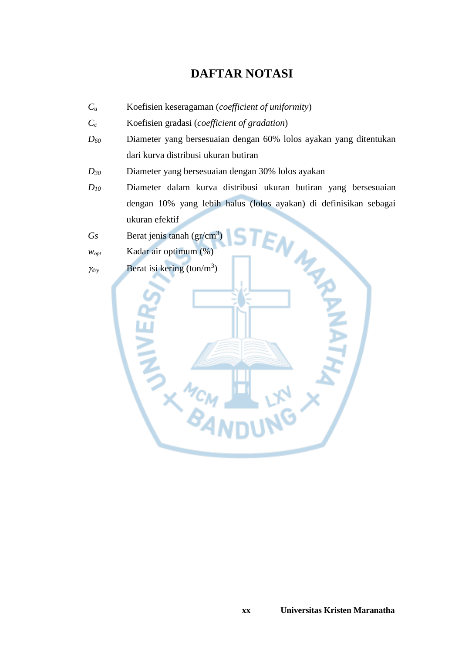## **DAFTAR NOTASI**

- *C<sup>u</sup>* Koefisien keseragaman (*coefficient of uniformity*)
- *C<sup>c</sup>* Koefisien gradasi (*coefficient of gradation*)
- *D<sup>60</sup>* Diameter yang bersesuaian dengan 60% lolos ayakan yang ditentukan dari kurva distribusi ukuran butiran
- *D<sup>30</sup>* Diameter yang bersesuaian dengan 30% lolos ayakan
- *D<sup>10</sup>* Diameter dalam kurva distribusi ukuran butiran yang bersesuaian dengan 10% yang lebih halus (lolos ayakan) di definisikan sebagai ukuran efektif
- Gs Berat jenis tanah (gr/cm<sup>3</sup>)
- *wopt* Kadar air optimum (%)
- $\gamma_{\text{dry}}$  Berat isi kering (ton/m<sup>3</sup>)

MAR